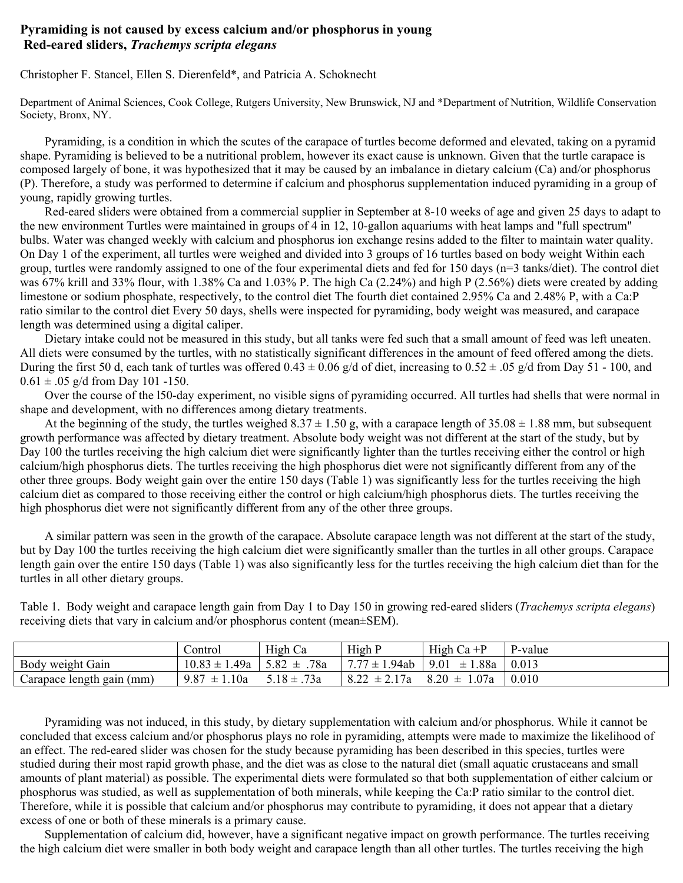## **Pyramiding is not caused by excess calcium and/or phosphorus in young Red-eared sliders,** *Trachemys scripta elegans*

Christopher F. Stancel, Ellen S. Dierenfeld\*, and Patricia A. Schoknecht

Department of Animal Sciences, Cook College, Rutgers University, New Brunswick, NJ and \*Department of Nutrition, Wildlife Conservation Society, Bronx, NY.

 Pyramiding, is a condition in which the scutes of the carapace of turtles become deformed and elevated, taking on a pyramid shape. Pyramiding is believed to be a nutritional problem, however its exact cause is unknown. Given that the turtle carapace is composed largely of bone, it was hypothesized that it may be caused by an imbalance in dietary calcium (Ca) and/or phosphorus (P). Therefore, a study was performed to determine if calcium and phosphorus supplementation induced pyramiding in a group of young, rapidly growing turtles.

 Red-eared sliders were obtained from a commercial supplier in September at 8-10 weeks of age and given 25 days to adapt to the new environment Turtles were maintained in groups of 4 in 12, 10-gallon aquariums with heat lamps and "full spectrum" bulbs. Water was changed weekly with calcium and phosphorus ion exchange resins added to the filter to maintain water quality. On Day 1 of the experiment, all turtles were weighed and divided into 3 groups of 16 turtles based on body weight Within each group, turtles were randomly assigned to one of the four experimental diets and fed for 150 days (n=3 tanks/diet). The control diet was 67% krill and 33% flour, with 1.38% Ca and 1.03% P. The high Ca (2.24%) and high P (2.56%) diets were created by adding limestone or sodium phosphate, respectively, to the control diet The fourth diet contained 2.95% Ca and 2.48% P, with a Ca:P ratio similar to the control diet Every 50 days, shells were inspected for pyramiding, body weight was measured, and carapace length was determined using a digital caliper.

 Dietary intake could not be measured in this study, but all tanks were fed such that a small amount of feed was left uneaten. All diets were consumed by the turtles, with no statistically significant differences in the amount of feed offered among the diets. During the first 50 d, each tank of turtles was offered  $0.43 \pm 0.06$  g/d of diet, increasing to  $0.52 \pm .05$  g/d from Day 51 - 100, and  $0.61 \pm .05$  g/d from Day 101 -150.

 Over the course of the l50-day experiment, no visible signs of pyramiding occurred. All turtles had shells that were normal in shape and development, with no differences among dietary treatments.

At the beginning of the study, the turtles weighed  $8.37 \pm 1.50$  g, with a carapace length of  $35.08 \pm 1.88$  mm, but subsequent growth performance was affected by dietary treatment. Absolute body weight was not different at the start of the study, but by Day 100 the turtles receiving the high calcium diet were significantly lighter than the turtles receiving either the control or high calcium/high phosphorus diets. The turtles receiving the high phosphorus diet were not significantly different from any of the other three groups. Body weight gain over the entire 150 days (Table 1) was significantly less for the turtles receiving the high calcium diet as compared to those receiving either the control or high calcium/high phosphorus diets. The turtles receiving the high phosphorus diet were not significantly different from any of the other three groups.

 A similar pattern was seen in the growth of the carapace. Absolute carapace length was not different at the start of the study, but by Day 100 the turtles receiving the high calcium diet were significantly smaller than the turtles in all other groups. Carapace length gain over the entire 150 days (Table 1) was also significantly less for the turtles receiving the high calcium diet than for the turtles in all other dietary groups.

|                           | ∠ontrol                             | High Ca         | High P            | High $Ca + P$    | P-value |
|---------------------------|-------------------------------------|-----------------|-------------------|------------------|---------|
| Body weight Gain          | $10.83 \pm 1.49a$   5.82 $\pm$ .78a |                 | $7.77 \pm 1.94ab$ | $9.01 \pm 1.88a$ | 0.013   |
| Carapace length gain (mm) | $9.87 \pm 1.10a$                    | $5.18 \pm .73a$ | $8.22 \pm 2.17a$  | $8.20 \pm 1.07a$ | 0.010   |

Table 1. Body weight and carapace length gain from Day 1 to Day 150 in growing red-eared sliders (*Trachemys scripta elegans*) receiving diets that vary in calcium and/or phosphorus content (mean±SEM).

 Pyramiding was not induced, in this study, by dietary supplementation with calcium and/or phosphorus. While it cannot be concluded that excess calcium and/or phosphorus plays no role in pyramiding, attempts were made to maximize the likelihood of an effect. The red-eared slider was chosen for the study because pyramiding has been described in this species, turtles were studied during their most rapid growth phase, and the diet was as close to the natural diet (small aquatic crustaceans and small amounts of plant material) as possible. The experimental diets were formulated so that both supplementation of either calcium or phosphorus was studied, as well as supplementation of both minerals, while keeping the Ca:P ratio similar to the control diet. Therefore, while it is possible that calcium and/or phosphorus may contribute to pyramiding, it does not appear that a dietary excess of one or both of these minerals is a primary cause.

 Supplementation of calcium did, however, have a significant negative impact on growth performance. The turtles receiving the high calcium diet were smaller in both body weight and carapace length than all other turtles. The turtles receiving the high